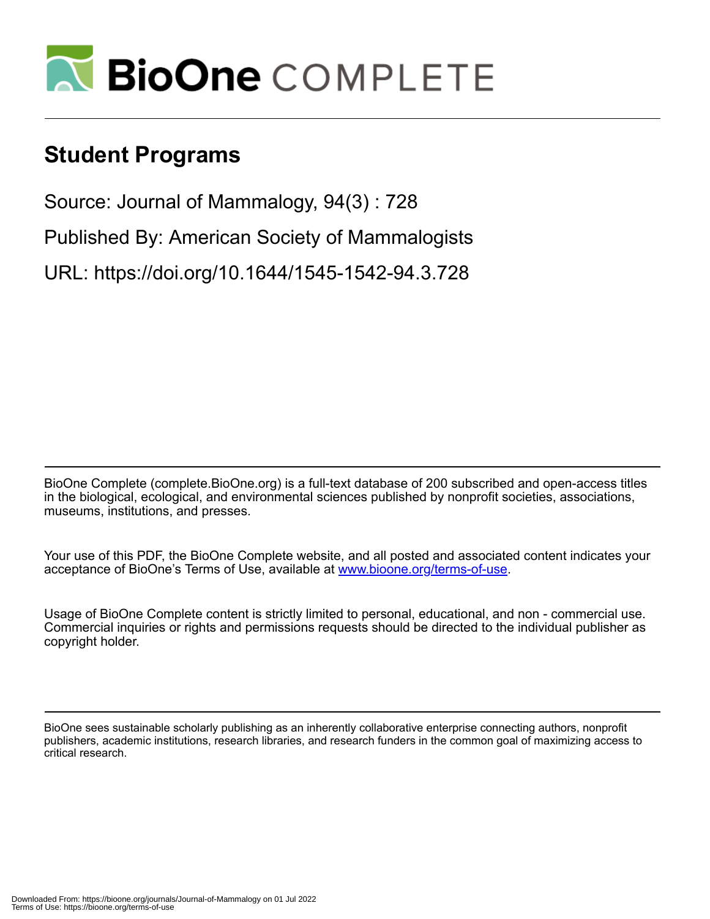

## **Student Programs**

Source: Journal of Mammalogy, 94(3) : 728

Published By: American Society of Mammalogists

URL: https://doi.org/10.1644/1545-1542-94.3.728

BioOne Complete (complete.BioOne.org) is a full-text database of 200 subscribed and open-access titles in the biological, ecological, and environmental sciences published by nonprofit societies, associations, museums, institutions, and presses.

Your use of this PDF, the BioOne Complete website, and all posted and associated content indicates your acceptance of BioOne's Terms of Use, available at www.bioone.org/terms-of-use.

Usage of BioOne Complete content is strictly limited to personal, educational, and non - commercial use. Commercial inquiries or rights and permissions requests should be directed to the individual publisher as copyright holder.

BioOne sees sustainable scholarly publishing as an inherently collaborative enterprise connecting authors, nonprofit publishers, academic institutions, research libraries, and research funders in the common goal of maximizing access to critical research.